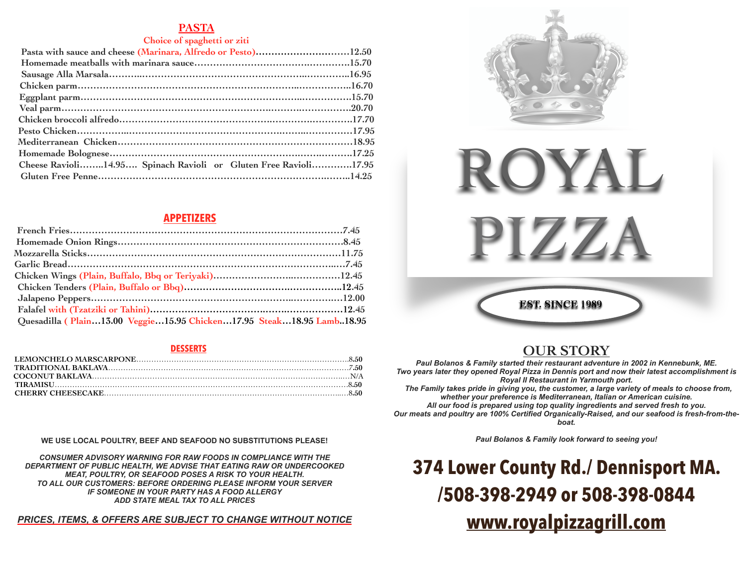### **PASTA**

### **Choice of spaghetti or ziti**

| Pasta with sauce and cheese (Marinara, Alfredo or Pesto)12.50   |  |
|-----------------------------------------------------------------|--|
|                                                                 |  |
|                                                                 |  |
|                                                                 |  |
|                                                                 |  |
|                                                                 |  |
|                                                                 |  |
|                                                                 |  |
|                                                                 |  |
|                                                                 |  |
| Cheese Ravioli14.95 Spinach Ravioli or Gluten Free Ravioli17.95 |  |
|                                                                 |  |

# **APPETIZERS**

| Quesadilla (Plain13.00 Veggie15.95 Chicken17.95 Steak18.95 Lamb18.95 |  |
|----------------------------------------------------------------------|--|

### **DESSERTS**

### **WE USE LOCAL POULTRY, BEEF AND SEAFOOD NO SUBSTITUTIONS PLEASE!**

*CONSUMER ADVISORY WARNING FOR RAW FOODS IN COMPLIANCE WITH THE DEPARTMENT OF PUBLIC HEALTH, WE ADVISE THAT EATING RAW OR UNDERCOOKED MEAT, POULTRY, OR SEAFOOD POSES A RISK TO YOUR HEALTH. TO ALL OUR CUSTOMERS: BEFORE ORDERING PLEASE INFORM YOUR SERVER IF SOMEONE IN YOUR PARTY HAS A FOOD ALLERGY ADD STATE MEAL TAX TO ALL PRICES*

# *PRICES, ITEMS, & OFFERS ARE SUBJECT TO CHANGE WITHOUT NOTICE*



**EST. SINCE 1989**

# **OUR STORY**

*Paul Bolanos & Family started their restaurant adventure in 2002 in Kennebunk, ME. Two years later they opened Royal Pizza in Dennis port and now their latest accomplishment is Royal II Restaurant in Yarmouth port. The Family takes pride in giving you, the customer, a large variety of meals to choose from,* 

*whether your preference is Mediterranean, Italian or American cuisine. All our food is prepared using top quality ingredients and served fresh to you. Our meats and poultry are 100% Certified Organically-Raised, and our seafood is fresh-from-theboat.*

*Paul Bolanos & Family look forward to seeing you!*

**374 Lower County Rd./ Dennisport MA. /508-398-2949 or 508-398-0844 [www.royalpizzagrill.com](http://www.royalpizzagrill.com)**